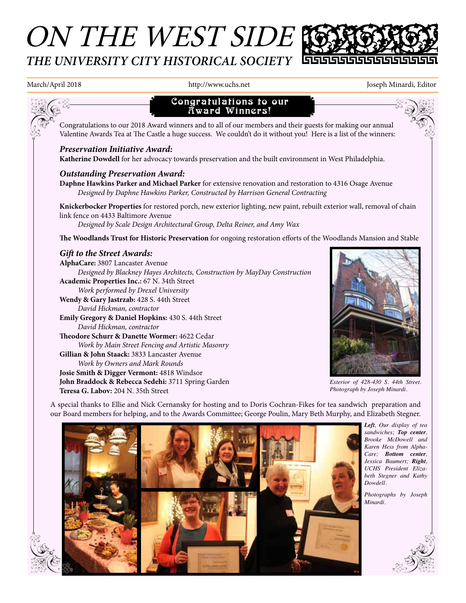# ON THE WEST SIDE & *THE UNIVERSITY CITY HISTORICAL SOCIETY*



March/April 2018 http://www.uchs.net Joseph Minardi, Editor Joseph Minardi, Editor



A special thanks to Ellie and Nick Cernansky for hosting and to Doris Cochran-Fikes for tea sandwich preparation and our Board members for helping, and to the Awards Committee; George Poulin, Mary Beth Murphy, and Elizabeth Stegner.



*Left, Our display of tea sandwiches; Top center, Brooke McDowell and Karen Hess from Alpha-Care; Bottom center, Jessica Baumert; Right, UCHS President Elizabeth Stegner and Kathy Dowdell.*

*Photographs by Joseph Minardi.*

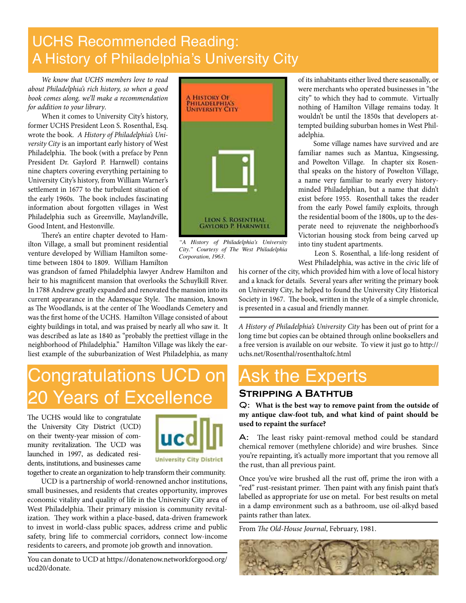### UCHS Recommended Reading: A History of Philadelphia's University City

*We know that UCHS members love to read about Philadelphia's rich history, so when a good book comes along, we'll make a recommendation for addition to your library*.

When it comes to University City's history, former UCHS President Leon S. Rosenthal, Esq. wrote the book. *A History of Philadelphia's University City* is an important early history of West Philadelphia. The book (with a preface by Penn President Dr. Gaylord P. Harnwell) contains nine chapters covering everything pertaining to University City's history, from William Warner's settlement in 1677 to the turbulent situation of the early 1960s. The book includes fascinating information about forgotten villages in West Philadelphia such as Greenville, Maylandville, Good Intent, and Hestonville.

There's an entire chapter devoted to Hamilton Village, a small but prominent residential venture developed by William Hamilton sometime between 1804 to 1809. William Hamilton

was grandson of famed Philadelphia lawyer Andrew Hamilton and heir to his magnificent mansion that overlooks the Schuylkill River. In 1788 Andrew greatly expanded and renovated the mansion into its current appearance in the Adamesque Style. The mansion, known as The Woodlands, is at the center of The Woodlands Cemetery and was the first home of the UCHS. Hamilton Village consisted of about eighty buildings in total, and was praised by nearly all who saw it. It was described as late as 1840 as "probably the prettiest village in the neighborhood of Philadelphia." Hamilton Village was likely the earliest example of the suburbanization of West Philadelphia, as many

# ongratulations UCD on 0 Years of Excellence

The UCHS would like to congratulate the University City District (UCD) on their twenty-year mission of community revitalization. The UCD was launched in 1997, as dedicated residents, institutions, and businesses came



**University City District** 

together to create an organization to help transform their community. UCD is a partnership of world-renowned anchor institutions, small businesses, and residents that creates opportunity, improves economic vitality and quality of life in the University City area of West Philadelphia. Their primary mission is community revitalization. They work within a place-based, data-driven framework to invest in world-class public spaces, address crime and public safety, bring life to commercial corridors, connect low-income residents to careers, and promote job growth and innovation.

You can donate to UCD at https://donatenow.networkforgood.org/ ucd20/donate.



*"A History of Philadelphia's University City." Courtesy of The West Philadelphia Corporation, 1963.*

of its inhabitants either lived there seasonally, or were merchants who operated businesses in "the city" to which they had to commute. Virtually nothing of Hamilton Village remains today. It wouldn't be until the 1850s that developers attempted building suburban homes in West Philadelphia.

 Some village names have survived and are familiar names such as Mantua, Kingsessing, and Powelton Village. In chapter six Rosenthal speaks on the history of Powelton Village, a name very familiar to nearly every historyminded Philadelphian, but a name that didn't exist before 1955. Rosenthall takes the reader from the early Powel family exploits, through the residential boom of the 1800s, up to the desperate need to rejuvenate the neighborhood's Victorian housing stock from being carved up into tiny student apartments.

 Leon S. Rosenthal, a life-long resident of West Philadelphia, was active in the civic life of

his corner of the city, which provided him with a love of local history and a knack for details. Several years after writing the primary book on University City, he helped to found the University City Historical Society in 1967. The book, written in the style of a simple chronicle, is presented in a casual and friendly manner.

*A History of Philadelphia's University City* has been out of print for a long time but copies can be obtained through online booksellers and a free version is available on our website. To view it just go to http:// uchs.net/Rosenthal/rosenthaltofc.html

### Ask the Experts

#### **Stripping a Bathtub**

Q: **What is the best way to remove paint from the outside of my antique claw-foot tub, and what kind of paint should be used to repaint the surface?**

A: The least risky paint-removal method could be standard chemical remover (methylene chloride) and wire brushes. Since you're repainting, it's actually more important that you remove all the rust, than all previous paint.

Once you've wire brushed all the rust off, prime the iron with a "red" rust-resistant primer. Then paint with any finish paint that's labelled as appropriate for use on metal. For best results on metal in a damp environment such as a bathroom, use oil-alkyd based paints rather than latex.

From *The Old-House Journal*, February, 1981.

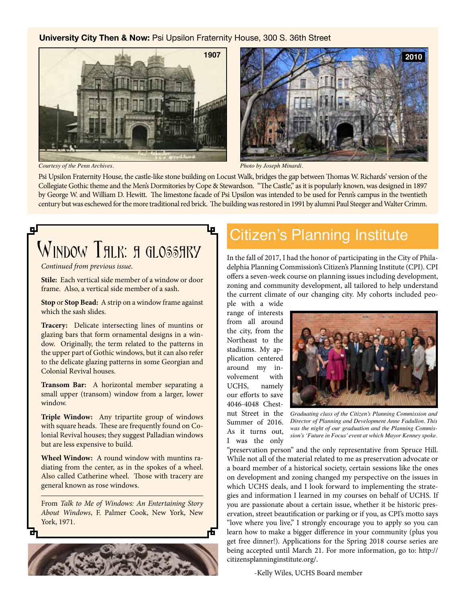#### **University City Then & Now:** Psi Upsilon Fraternity House, 300 S. 36th Street





*Courtesy of the Penn Archives. Photo by Joseph Minardi.*

Psi Upsilon Fraternity House, the castle-like stone building on Locust Walk, bridges the gap between Thomas W. Richards' version of the Collegiate Gothic theme and the Men's Dormitories by Cope & Stewardson. "The Castle," as it is popularly known, was designed in 1897 by George W. and William D. Hewitt. The limestone facade of Psi Upsilon was intended to be used for Penn's campus in the twentieth century but was eschewed for the more traditional red brick. The building was restored in 1991 by alumni Paul Steeger and Walter Crimm.

## цI WINDOW THLK: A GLOSSHRY

*Continued from previous issue*.

**Stile:** Each vertical side member of a window or door frame. Also, a vertical side member of a sash.

**Stop** or **Stop Bead:** A strip on a window frame against which the sash slides.

**Tracery:** Delicate intersecting lines of muntins or glazing bars that form ornamental designs in a window. Originally, the term related to the patterns in the upper part of Gothic windows, but it can also refer to the delicate glazing patterns in some Georgian and Colonial Revival houses.

**Transom Bar:** A horizontal member separating a small upper (transom) window from a larger, lower window.

**Triple Window:** Any tripartite group of windows with square heads. These are frequently found on Colonial Revival houses; they suggest Palladian windows but are less expensive to build.

**Wheel Window:** A round window with muntins radiating from the center, as in the spokes of a wheel. Also called Catherine wheel. Those with tracery are general known as rose windows.

From *Talk to Me of Windows: An Entertaining Story About Windows*, F. Palmer Cook, New York, New York, 1971.



### Citizen's Planning Institute

In the fall of 2017, I had the honor of participating in the City of Philadelphia Planning Commission's Citizen's Planning Institute (CPI). CPI offers a seven-week course on planning issues including development, zoning and community development, all tailored to help understand the current climate of our changing city. My cohorts included peo-

ple with a wide range of interests from all around the city, from the Northeast to the stadiums. My application centered around my involvement with UCHS, namely our efforts to save 4046-4048 Chestnut Street in the Summer of 2016. As it turns out,

I was the only



*Graduating class of the Citizen's Planning Commission and Director of Planning and Development Anne Fadullon. This was the night of our graduation and the Planning Commission's 'Future in Focus' event at which Mayor Kenney spoke.*

"preservation person" and the only representative from Spruce Hill. While not all of the material related to me as preservation advocate or a board member of a historical society, certain sessions like the ones on development and zoning changed my perspective on the issues in which UCHS deals, and I look forward to implementing the strategies and information I learned in my courses on behalf of UCHS. If you are passionate about a certain issue, whether it be historic preservation, street beautification or parking or if you, as CPI's motto says "love where you live," I strongly encourage you to apply so you can learn how to make a bigger difference in your community (plus you get free dinner!). Applications for the Spring 2018 course series are being accepted until March 21. For more information, go to: http:// citizensplanninginstitute.org/.

-Kelly Wiles, UCHS Board member